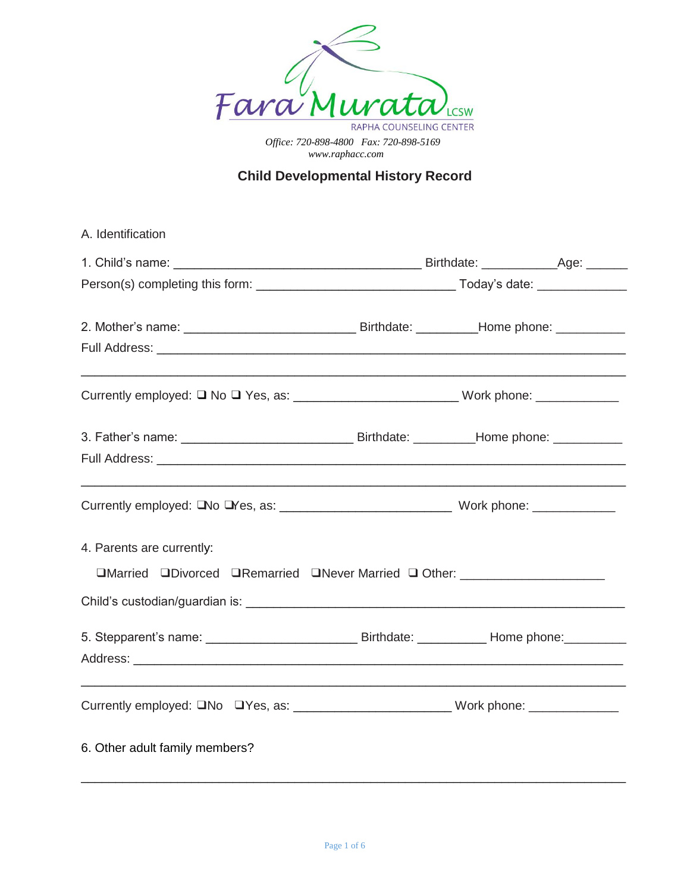

## **Child Developmental History Record**

| A. Identification                                                                |  |  |  |
|----------------------------------------------------------------------------------|--|--|--|
|                                                                                  |  |  |  |
|                                                                                  |  |  |  |
|                                                                                  |  |  |  |
|                                                                                  |  |  |  |
|                                                                                  |  |  |  |
|                                                                                  |  |  |  |
|                                                                                  |  |  |  |
|                                                                                  |  |  |  |
| 4. Parents are currently:                                                        |  |  |  |
| □Married □Divorced □Remarried □Never Married □ Other: __________________________ |  |  |  |
|                                                                                  |  |  |  |
|                                                                                  |  |  |  |
|                                                                                  |  |  |  |
| Currently employed: ONo OYes, as: _______________________Work phone: ___________ |  |  |  |
| 6. Other adult family members?                                                   |  |  |  |
|                                                                                  |  |  |  |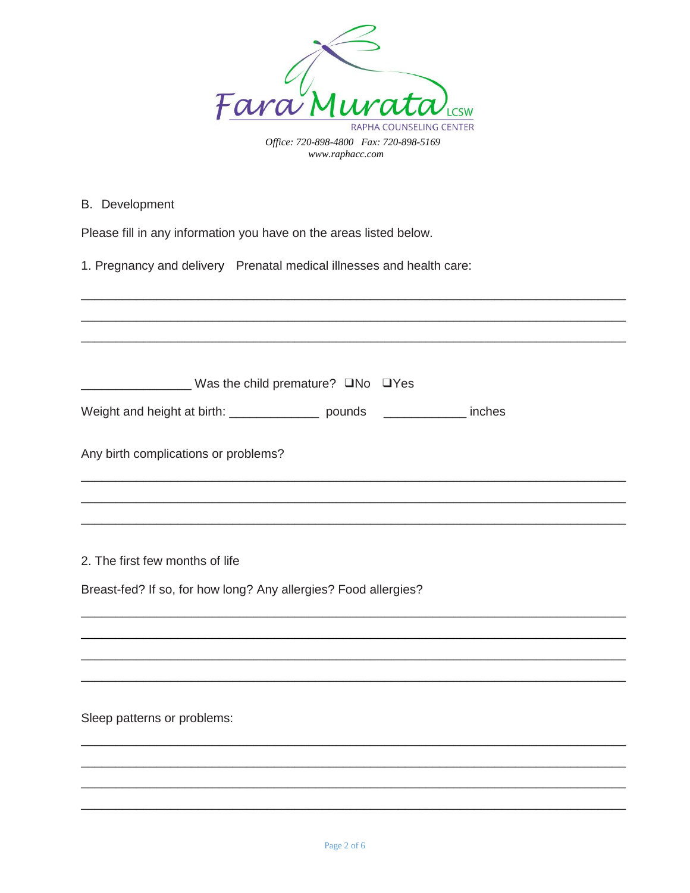

B. Development

Please fill in any information you have on the areas listed below.

1. Pregnancy and delivery Prenatal medical illnesses and health care:

| <u>No</u> DYes Was the child premature? ONo DYes                               |
|--------------------------------------------------------------------------------|
| Weight and height at birth: ___________________ pounds ________________ inches |
| Any birth complications or problems?                                           |
|                                                                                |
|                                                                                |
|                                                                                |
| 2. The first few months of life                                                |
| Breast-fed? If so, for how long? Any allergies? Food allergies?                |
|                                                                                |
|                                                                                |
|                                                                                |
|                                                                                |
| Sleep patterns or problems:                                                    |
|                                                                                |
|                                                                                |
|                                                                                |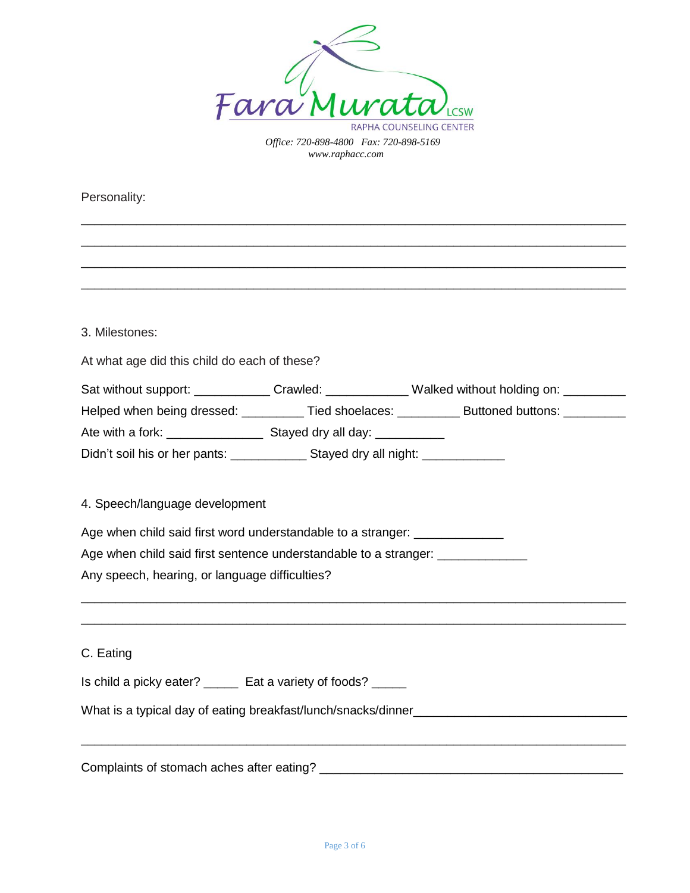

\_\_\_\_\_\_\_\_\_\_\_\_\_\_\_\_\_\_\_\_\_\_\_\_\_\_\_\_\_\_\_\_\_\_\_\_\_\_\_\_\_\_\_\_\_\_\_\_\_\_\_\_\_\_\_\_\_\_\_\_\_\_\_\_\_\_\_\_\_\_\_\_\_\_\_\_\_\_\_ \_\_\_\_\_\_\_\_\_\_\_\_\_\_\_\_\_\_\_\_\_\_\_\_\_\_\_\_\_\_\_\_\_\_\_\_\_\_\_\_\_\_\_\_\_\_\_\_\_\_\_\_\_\_\_\_\_\_\_\_\_\_\_\_\_\_\_\_\_\_\_\_\_\_\_\_\_\_\_ \_\_\_\_\_\_\_\_\_\_\_\_\_\_\_\_\_\_\_\_\_\_\_\_\_\_\_\_\_\_\_\_\_\_\_\_\_\_\_\_\_\_\_\_\_\_\_\_\_\_\_\_\_\_\_\_\_\_\_\_\_\_\_\_\_\_\_\_\_\_\_\_\_\_\_\_\_\_\_ \_\_\_\_\_\_\_\_\_\_\_\_\_\_\_\_\_\_\_\_\_\_\_\_\_\_\_\_\_\_\_\_\_\_\_\_\_\_\_\_\_\_\_\_\_\_\_\_\_\_\_\_\_\_\_\_\_\_\_\_\_\_\_\_\_\_\_\_\_\_\_\_\_\_\_\_\_\_\_

Personality:

3. Milestones:

At what age did this child do each of these?

Sat without support: \_\_\_\_\_\_\_\_\_\_\_\_\_Crawled: \_\_\_\_\_\_\_\_\_\_\_\_\_\_Walked without holding on: \_\_\_\_\_\_\_\_\_\_

Helped when being dressed: \_\_\_\_\_\_\_\_\_\_ Tied shoelaces: \_\_\_\_\_\_\_\_\_ Buttoned buttons: \_\_\_\_\_\_\_\_

\_\_\_\_\_\_\_\_\_\_\_\_\_\_\_\_\_\_\_\_\_\_\_\_\_\_\_\_\_\_\_\_\_\_\_\_\_\_\_\_\_\_\_\_\_\_\_\_\_\_\_\_\_\_\_\_\_\_\_\_\_\_\_\_\_\_\_\_\_\_\_\_\_\_\_\_\_\_\_ \_\_\_\_\_\_\_\_\_\_\_\_\_\_\_\_\_\_\_\_\_\_\_\_\_\_\_\_\_\_\_\_\_\_\_\_\_\_\_\_\_\_\_\_\_\_\_\_\_\_\_\_\_\_\_\_\_\_\_\_\_\_\_\_\_\_\_\_\_\_\_\_\_\_\_\_\_\_\_

\_\_\_\_\_\_\_\_\_\_\_\_\_\_\_\_\_\_\_\_\_\_\_\_\_\_\_\_\_\_\_\_\_\_\_\_\_\_\_\_\_\_\_\_\_\_\_\_\_\_\_\_\_\_\_\_\_\_\_\_\_\_\_\_\_\_\_\_\_\_\_\_\_\_\_\_\_\_\_

Ate with a fork: \_\_\_\_\_\_\_\_\_\_\_\_\_\_ Stayed dry all day: \_\_\_\_\_\_\_\_\_\_

Didn't soil his or her pants: \_\_\_\_\_\_\_\_\_\_\_\_\_\_\_ Stayed dry all night: \_\_\_\_\_\_\_\_\_\_\_\_

## 4. Speech/language development

Age when child said first word understandable to a stranger: \_\_\_\_\_\_\_\_\_\_\_\_\_\_\_\_\_\_\_

Age when child said first sentence understandable to a stranger:

Any speech, hearing, or language difficulties?

C. Eating

Is child a picky eater? \_\_\_\_\_ Eat a variety of foods? \_\_\_\_\_

What is a typical day of eating breakfast/lunch/snacks/dinner\_\_\_\_\_\_\_\_\_\_\_\_\_\_\_\_\_\_\_

Complaints of stomach aches after eating? \_\_\_\_\_\_\_\_\_\_\_\_\_\_\_\_\_\_\_\_\_\_\_\_\_\_\_\_\_\_\_\_\_\_\_\_\_\_\_\_\_\_\_\_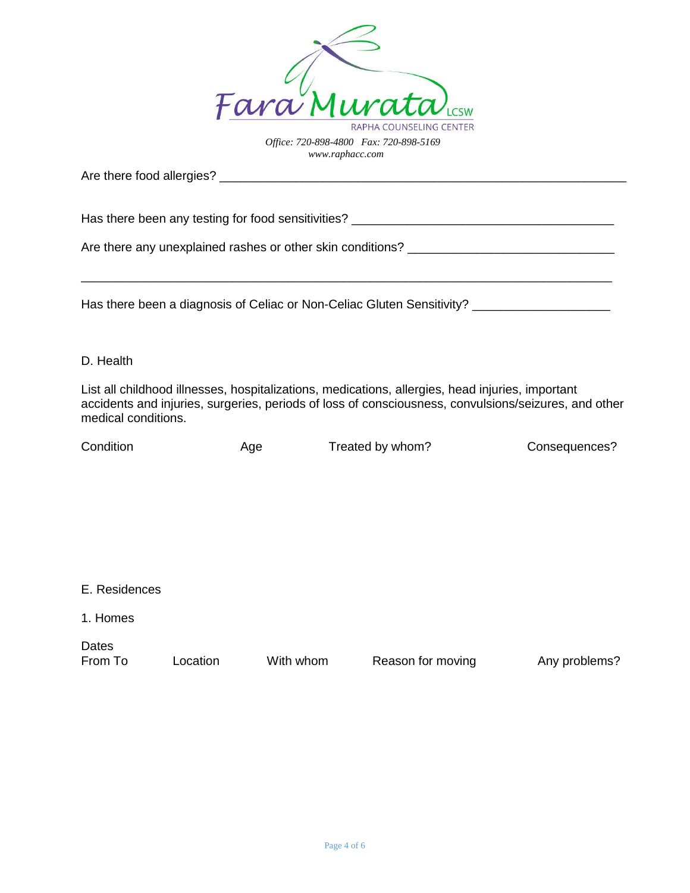

Are there food allergies? \_\_\_\_\_\_\_\_\_\_\_\_\_\_\_\_\_\_\_\_\_\_\_\_\_\_\_\_\_\_\_\_\_\_\_\_\_\_\_\_\_\_\_\_\_\_\_\_\_\_\_\_\_\_\_\_\_\_\_

Has there been any testing for food sensitivities? \_\_\_\_\_\_\_\_\_\_\_\_\_\_\_\_\_\_\_\_\_\_\_\_\_\_\_\_\_

Are there any unexplained rashes or other skin conditions? \_\_\_\_\_\_\_\_\_\_\_\_\_\_\_\_\_\_\_\_\_\_\_\_\_\_\_\_\_\_

Has there been a diagnosis of Celiac or Non-Celiac Gluten Sensitivity? \_\_\_\_\_\_\_\_\_\_\_\_\_\_\_\_\_\_\_\_

## D. Health

List all childhood illnesses, hospitalizations, medications, allergies, head injuries, important accidents and injuries, surgeries, periods of loss of consciousness, convulsions/seizures, and other medical conditions.

\_\_\_\_\_\_\_\_\_\_\_\_\_\_\_\_\_\_\_\_\_\_\_\_\_\_\_\_\_\_\_\_\_\_\_\_\_\_\_\_\_\_\_\_\_\_\_\_\_\_\_\_\_\_\_\_\_\_\_\_\_\_\_\_\_\_\_\_\_\_\_\_\_\_\_\_\_

| Condition | Age | Treated by whom? | Consequences? |
|-----------|-----|------------------|---------------|
|           |     |                  |               |

| E. Residences    |          |           |                   |               |
|------------------|----------|-----------|-------------------|---------------|
| 1. Homes         |          |           |                   |               |
| Dates<br>From To | Location | With whom | Reason for moving | Any problems? |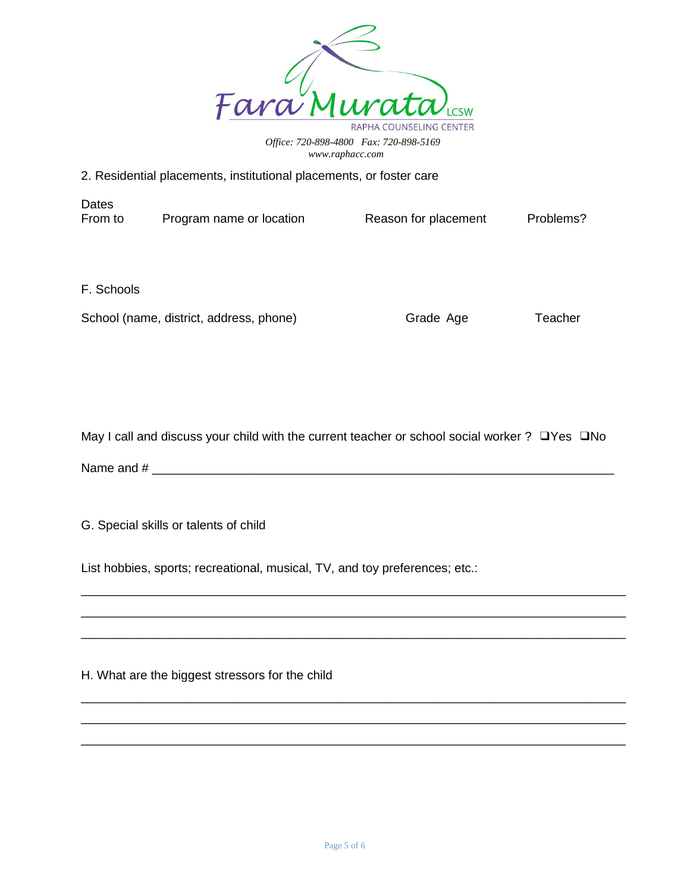

## 2. Residential placements, institutional placements, or foster care

**Dates** From to Program name or location Reason for placement Problems?

F. Schools

School (name, district, address, phone) Grade Age Grade Teacher

May I call and discuss your child with the current teacher or school social worker ? □ Yes □ No

Name and # \_\_\_\_\_\_\_\_\_\_\_\_\_\_\_\_\_\_\_\_\_\_\_\_\_\_\_\_\_\_\_\_\_\_\_\_\_\_\_\_\_\_\_\_\_\_\_\_\_\_\_\_\_\_\_\_\_\_\_\_\_\_\_\_\_\_\_

\_\_\_\_\_\_\_\_\_\_\_\_\_\_\_\_\_\_\_\_\_\_\_\_\_\_\_\_\_\_\_\_\_\_\_\_\_\_\_\_\_\_\_\_\_\_\_\_\_\_\_\_\_\_\_\_\_\_\_\_\_\_\_\_\_\_\_\_\_\_\_\_\_\_\_\_\_\_\_ \_\_\_\_\_\_\_\_\_\_\_\_\_\_\_\_\_\_\_\_\_\_\_\_\_\_\_\_\_\_\_\_\_\_\_\_\_\_\_\_\_\_\_\_\_\_\_\_\_\_\_\_\_\_\_\_\_\_\_\_\_\_\_\_\_\_\_\_\_\_\_\_\_\_\_\_\_\_\_ \_\_\_\_\_\_\_\_\_\_\_\_\_\_\_\_\_\_\_\_\_\_\_\_\_\_\_\_\_\_\_\_\_\_\_\_\_\_\_\_\_\_\_\_\_\_\_\_\_\_\_\_\_\_\_\_\_\_\_\_\_\_\_\_\_\_\_\_\_\_\_\_\_\_\_\_\_\_\_

\_\_\_\_\_\_\_\_\_\_\_\_\_\_\_\_\_\_\_\_\_\_\_\_\_\_\_\_\_\_\_\_\_\_\_\_\_\_\_\_\_\_\_\_\_\_\_\_\_\_\_\_\_\_\_\_\_\_\_\_\_\_\_\_\_\_\_\_\_\_\_\_\_\_\_\_\_\_\_ \_\_\_\_\_\_\_\_\_\_\_\_\_\_\_\_\_\_\_\_\_\_\_\_\_\_\_\_\_\_\_\_\_\_\_\_\_\_\_\_\_\_\_\_\_\_\_\_\_\_\_\_\_\_\_\_\_\_\_\_\_\_\_\_\_\_\_\_\_\_\_\_\_\_\_\_\_\_\_ \_\_\_\_\_\_\_\_\_\_\_\_\_\_\_\_\_\_\_\_\_\_\_\_\_\_\_\_\_\_\_\_\_\_\_\_\_\_\_\_\_\_\_\_\_\_\_\_\_\_\_\_\_\_\_\_\_\_\_\_\_\_\_\_\_\_\_\_\_\_\_\_\_\_\_\_\_\_\_

G. Special skills or talents of child

List hobbies, sports; recreational, musical, TV, and toy preferences; etc.:

H. What are the biggest stressors for the child